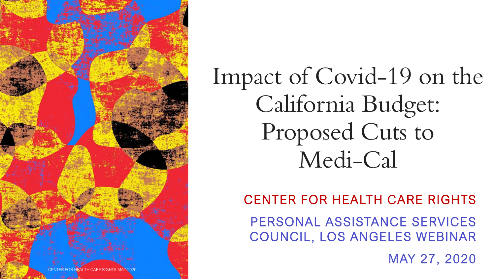

Impact of Covid-19 on the California Budget: Proposed Cuts to Medi-Cal

#### CENTER FOR HEALTH CARE RIGHTS

PERSONAL ASSISTANCE SERVICES COUNCIL, LOS ANGELES WEBINAR

MAY 27, 2020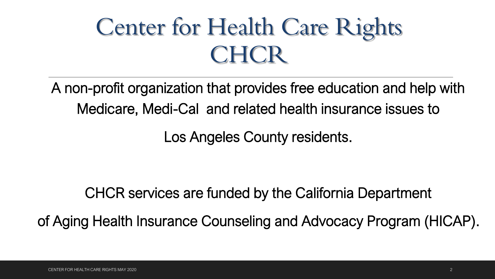# Center for Health Care Rights CHCR

A non-profit organization that provides free education and help with Medicare, Medi-Cal and related health insurance issues to

Los Angeles County residents.

CHCR services are funded by the California Department

of Aging Health Insurance Counseling and Advocacy Program (HICAP).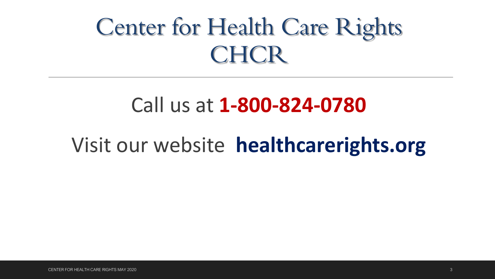# Center for Health Care Rights **CHCR**

#### Call us at **1-800-824-0780**

#### Visit our website **healthcarerights.org**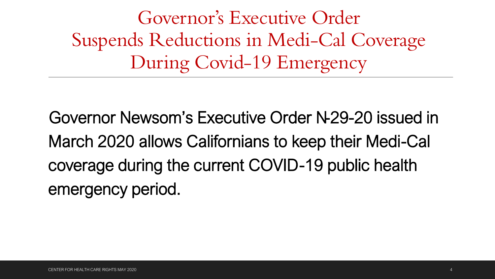Governor's Executive Order Suspends Reductions in Medi-Cal Coverage During Covid-19 Emergency

Governor Newsom's Executive Order N-29-20 issued in March 2020 allows Californians to keep their Medi-Cal coverage during the current COVID-19 public health emergency period.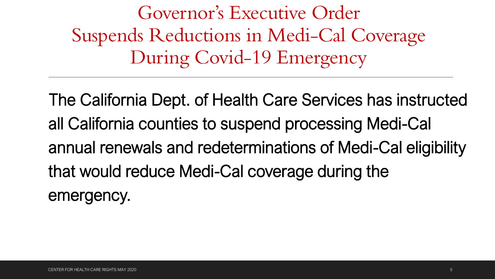Governor's Executive Order Suspends Reductions in Medi-Cal Coverage During Covid-19 Emergency

The California Dept. of Health Care Services has instructed all California counties to suspend processing Medi-Cal annual renewals and redeterminations of Medi-Cal eligibility that would reduce Medi-Cal coverage during the emergency.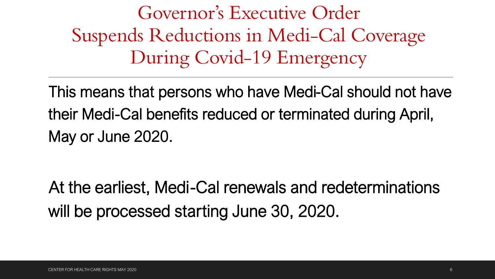Governor's Executive Order Suspends Reductions in Medi-Cal Coverage During Covid-19 Emergency

This means that persons who have Medi-Cal should not have their Medi-Cal benefits reduced or terminated during April, May or June 2020.

At the earliest, Medi-Cal renewals and redeterminations will be processed starting June 30, 2020.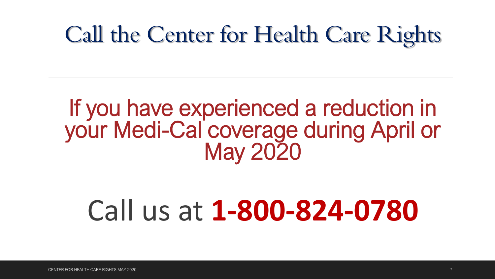# Call the Center for Health Care Rights

## If you have experienced a reduction in your Medi-Cal coverage during April or May 2020

# Call us at **1-800-824-0780**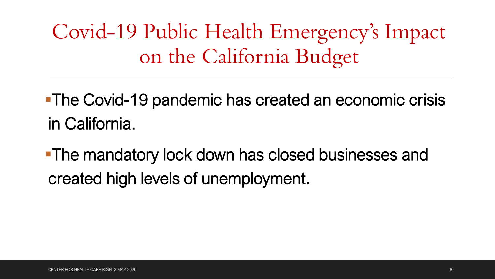Covid-19 Public Health Emergency's Impact on the California Budget

**The Covid-19 pandemic has created an economic crisis** in California.

**The mandatory lock down has closed businesses and** created high levels of unemployment.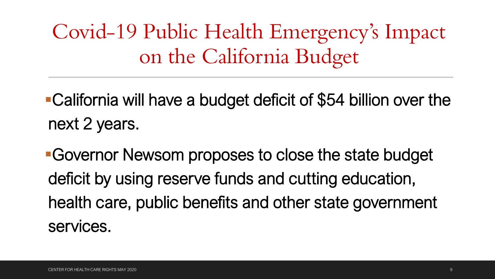Covid-19 Public Health Emergency's Impact on the California Budget

California will have a budget deficit of \$54 billion over the next 2 years.

Governor Newsom proposes to close the state budget deficit by using reserve funds and cutting education, health care, public benefits and other state government services.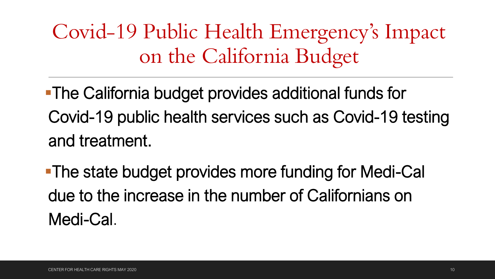Covid-19 Public Health Emergency's Impact on the California Budget

The California budget provides additional funds for Covid-19 public health services such as Covid-19 testing and treatment.

The state budget provides more funding for Medi-Cal due to the increase in the number of Californians on Medi-Cal.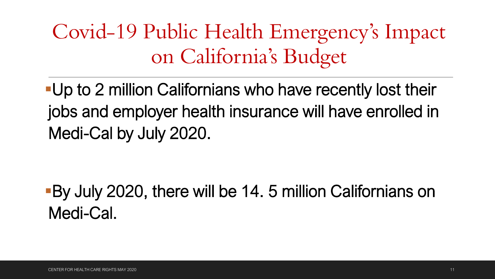Covid-19 Public Health Emergency's Impact on California's Budget

Up to 2 million Californians who have recently lost their jobs and employer health insurance will have enrolled in Medi-Cal by July 2020.

By July 2020, there will be 14. 5 million Californians on Medi-Cal.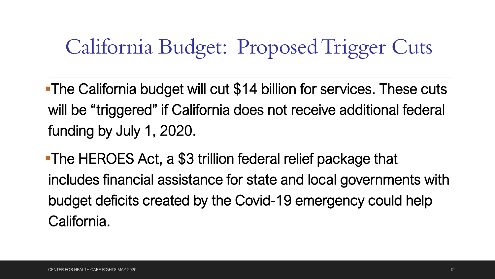## California Budget: Proposed Trigger Cuts

**The California budget will cut \$14 billion for services. These cuts** will be "triggered" if California does not receive additional federal funding by July 1, 2020.

The HEROES Act, a \$3 trillion federal relief package that includes financial assistance for state and local governments with budget deficits created by the Covid-19 emergency could help California.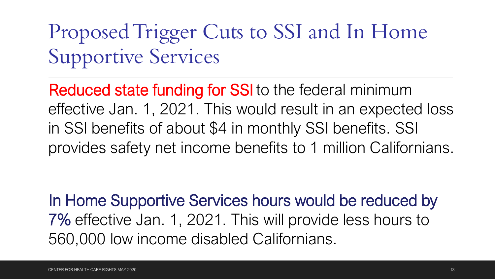# Proposed Trigger Cuts to SSI and In Home Supportive Services

Reduced state funding for SSI to the federal minimum effective Jan. 1, 2021. This would result in an expected loss in SSI benefits of about \$4 in monthly SSI benefits. SSI provides safety net income benefits to 1 million Californians.

In Home Supportive Services hours would be reduced by 7% effective Jan. 1, 2021. This will provide less hours to 560,000 low income disabled Californians.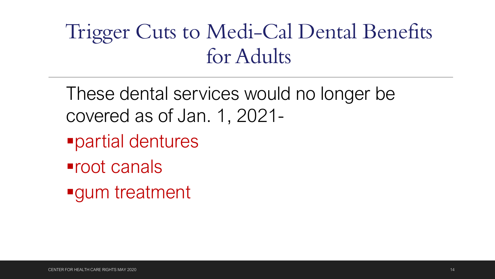## Trigger Cuts to Medi-Cal Dental Benefits for Adults

These dental services would no longer be covered as of Jan. 1, 2021-

- partial dentures
- root canals
- **gum** treatment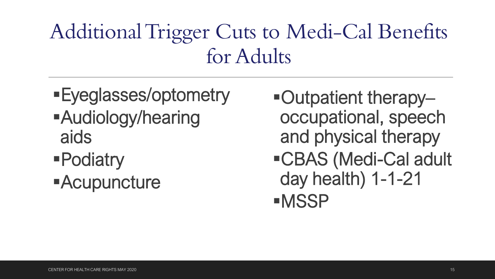## Additional Trigger Cuts to Medi-Cal Benefits for Adults

- Eyeglasses/optometry Audiology/hearing aids
- Podiatry

**-Acupuncture** 

- ■Outpatient therapyoccupational, speech and physical therapy
- CBAS (Medi-Cal adult day health) 1-1-21 **-MSSP**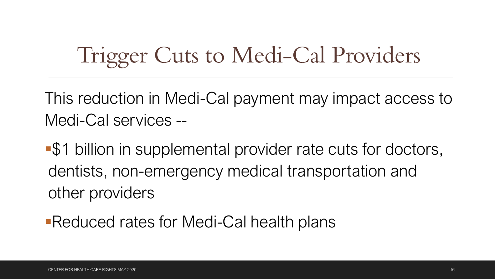# Trigger Cuts to Medi-Cal Providers

This reduction in Medi-Cal payment may impact access to Medi-Cal services --

\$1 billion in supplemental provider rate cuts for doctors, dentists, non-emergency medical transportation and other providers

Reduced rates for Medi-Cal health plans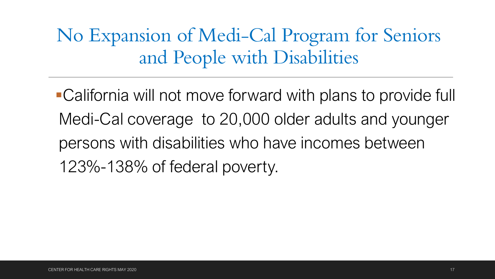No Expansion of Medi-Cal Program for Seniors and People with Disabilities

California will not move forward with plans to provide full Medi-Cal coverage to 20,000 older adults and younger persons with disabilities who have incomes between 123%-138% of federal poverty.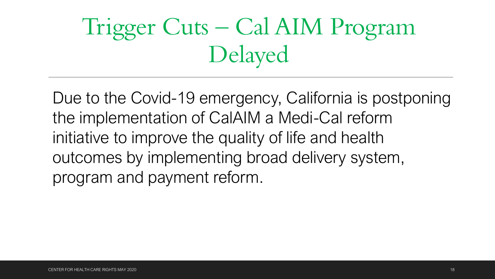# Trigger Cuts – Cal AIM Program Delayed

Due to the Covid-19 emergency, California is postponing the implementation of CalAIM a Medi-Cal reform initiative to improve the quality of life and health outcomes by implementing broad delivery system, program and payment reform.